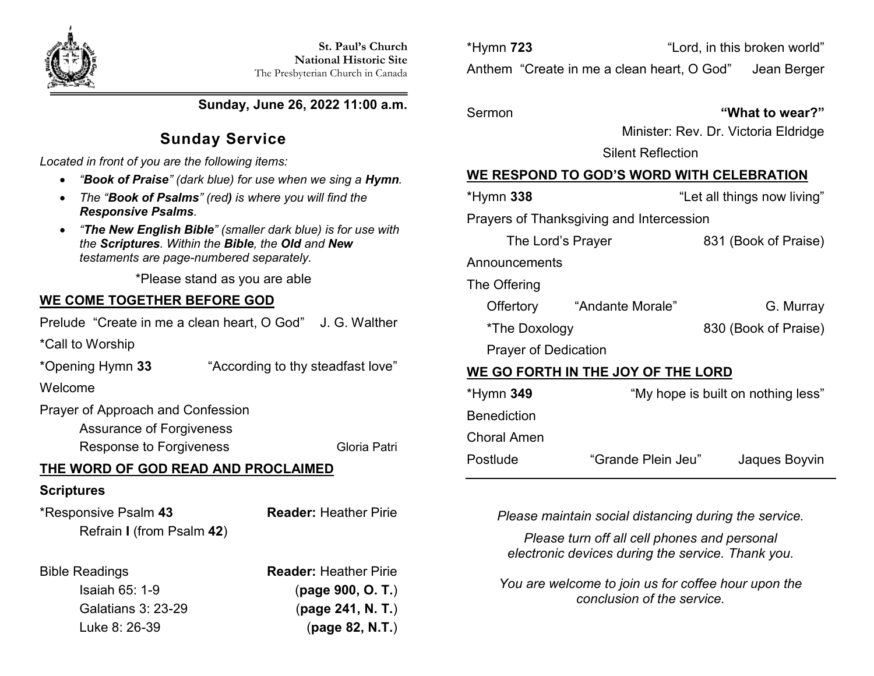

**Sunday, June 26, 2022 11:00 a.m.**

# **Sunday Service**

*Located in front of you are the following items:*

- *"Book of Praise" (dark blue) for use when we sing a Hymn.*
- *The "Book of Psalms" (red) is where you will find the Responsive Psalms.*
- *"The New English Bible" (smaller dark blue) is for use with the Scriptures. Within the Bible, the Old and New testaments are page-numbered separately.*

\*Please stand as you are able

## **WE COME TOGETHER BEFORE GOD**

Prelude "Create in me a clean heart, O God" J. G. Walther

\*Call to Worship

\*Opening Hymn **33** "According to thy steadfast love"

Welcome

Prayer of Approach and Confession

Assurance of Forgiveness

Response to Forgiveness Gloria Patri

# **THE WORD OF GOD READ AND PROCLAIMED**

## **Scriptures**

\*Responsive Psalm **43 Reader:** Heather Pirie Refrain **I** (from Psalm **42**)

Bible Readings **Reader:** Heather Pirie Isaiah 65: 1-9 (**page 900, O. T.**) Galatians 3: 23-29 (**page 241, N. T.**) Luke 8: 26-39 (**page 82, N.T.**) \*Hymn **723** "Lord, in this broken world" Anthem "Create in me a clean heart, O God" Jean Berger

### Sermon **"What to wear?"**

Minister: Rev. Dr. Victoria Eldridge

Silent Reflection

## **WE RESPOND TO GOD'S WORD WITH CELEBRATION**

| *Hymn 338                                | "Let all things now living"        |  |  |  |
|------------------------------------------|------------------------------------|--|--|--|
| Prayers of Thanksgiving and Intercession |                                    |  |  |  |
| The Lord's Prayer                        | 831 (Book of Praise)               |  |  |  |
| Announcements                            |                                    |  |  |  |
| The Offering                             |                                    |  |  |  |
| Offertory "Andante Morale"               | G. Murray                          |  |  |  |
| *The Doxology                            | 830 (Book of Praise)               |  |  |  |
| <b>Prayer of Dedication</b>              |                                    |  |  |  |
| WE GO FORTH IN THE JOY OF THE LORD       |                                    |  |  |  |
| *Hymn <b>349</b>                         | "My hope is built on nothing less" |  |  |  |
| Benediction                              |                                    |  |  |  |
| Choral Amen                              |                                    |  |  |  |

Postlude "Grande Plein Jeu" Jaques Boyvin

*Please maintain social distancing during the service.*

*Please turn off all cell phones and personal electronic devices during the service. Thank you.*

*You are welcome to join us for coffee hour upon the conclusion of the service.*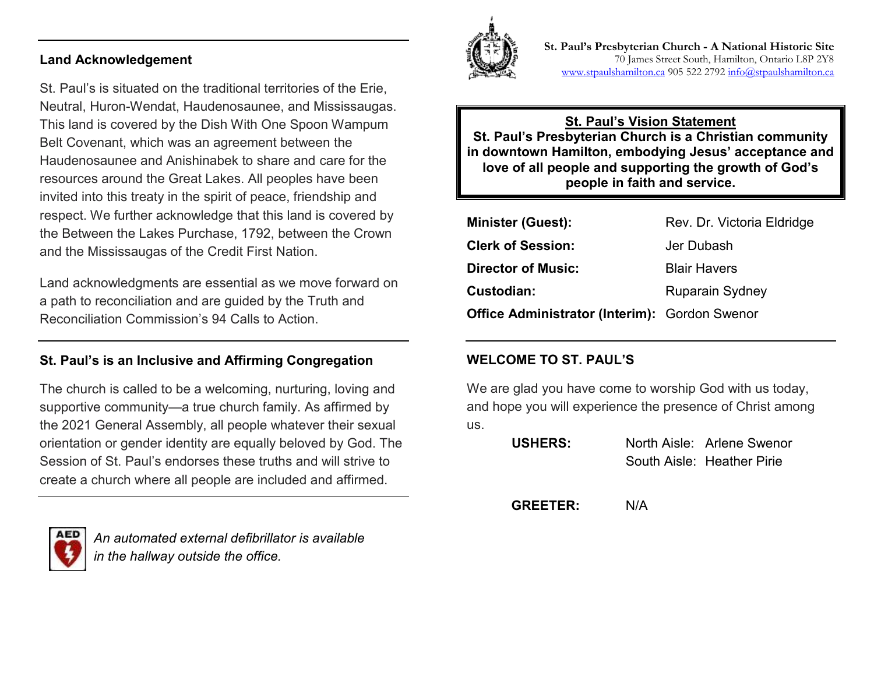#### **Land Acknowledgement**

St. Paul's is situated on the traditional territories of the Erie, Neutral, Huron-Wendat, Haudenosaunee, and Mississaugas. This land is covered by the Dish With One Spoon Wampum Belt Covenant, which was an agreement between the Haudenosaunee and Anishinabek to share and care for the resources around the Great Lakes. All peoples have been invited into this treaty in the spirit of peace, friendship and respect. We further acknowledge that this land is covered by the Between the Lakes Purchase, 1792, between the Crown and the Mississaugas of the Credit First Nation.

Land acknowledgments are essential as we move forward on a path to reconciliation and are guided by the Truth and Reconciliation Commission's 94 Calls to Action.

### **St. Paul's is an Inclusive and Affirming Congregation**

The church is called to be a welcoming, nurturing, loving and supportive community—a true church family. As affirmed by the 2021 General Assembly, all people whatever their sexual orientation or gender identity are equally beloved by God. The Session of St. Paul's endorses these truths and will strive to create a church where all people are included and affirmed.



*An automated external defibrillator is available in the hallway outside the office.*



**St. Paul's Presbyterian Church - A National Historic Site**  70 James Street South, Hamilton, Ontario L8P 2Y8 [www.stpaulshamilton.ca](http://www.stpaulshamilton.ca/) 905 522 279[2 info@stpaulshamilton.ca](mailto:info@stpaulshamilton.ca)

**St. Paul's Vision Statement St. Paul's Presbyterian Church is a Christian community in downtown Hamilton, embodying Jesus' acceptance and love of all people and supporting the growth of God's people in faith and service.**

| <b>Minister (Guest):</b>                             | Rev. Dr. Victoria Eldridge |
|------------------------------------------------------|----------------------------|
| <b>Clerk of Session:</b>                             | Jer Dubash                 |
| <b>Director of Music:</b>                            | <b>Blair Havers</b>        |
| Custodian:                                           | <b>Ruparain Sydney</b>     |
| <b>Office Administrator (Interim): Gordon Swenor</b> |                            |

### **WELCOME TO ST. PAUL'S**

We are glad you have come to worship God with us today, and hope you will experience the presence of Christ among us.

| <b>USHERS:</b> | North Aisle: Arlene Swenor |
|----------------|----------------------------|
|                | South Aisle: Heather Pirie |

**GREETER:** N/A